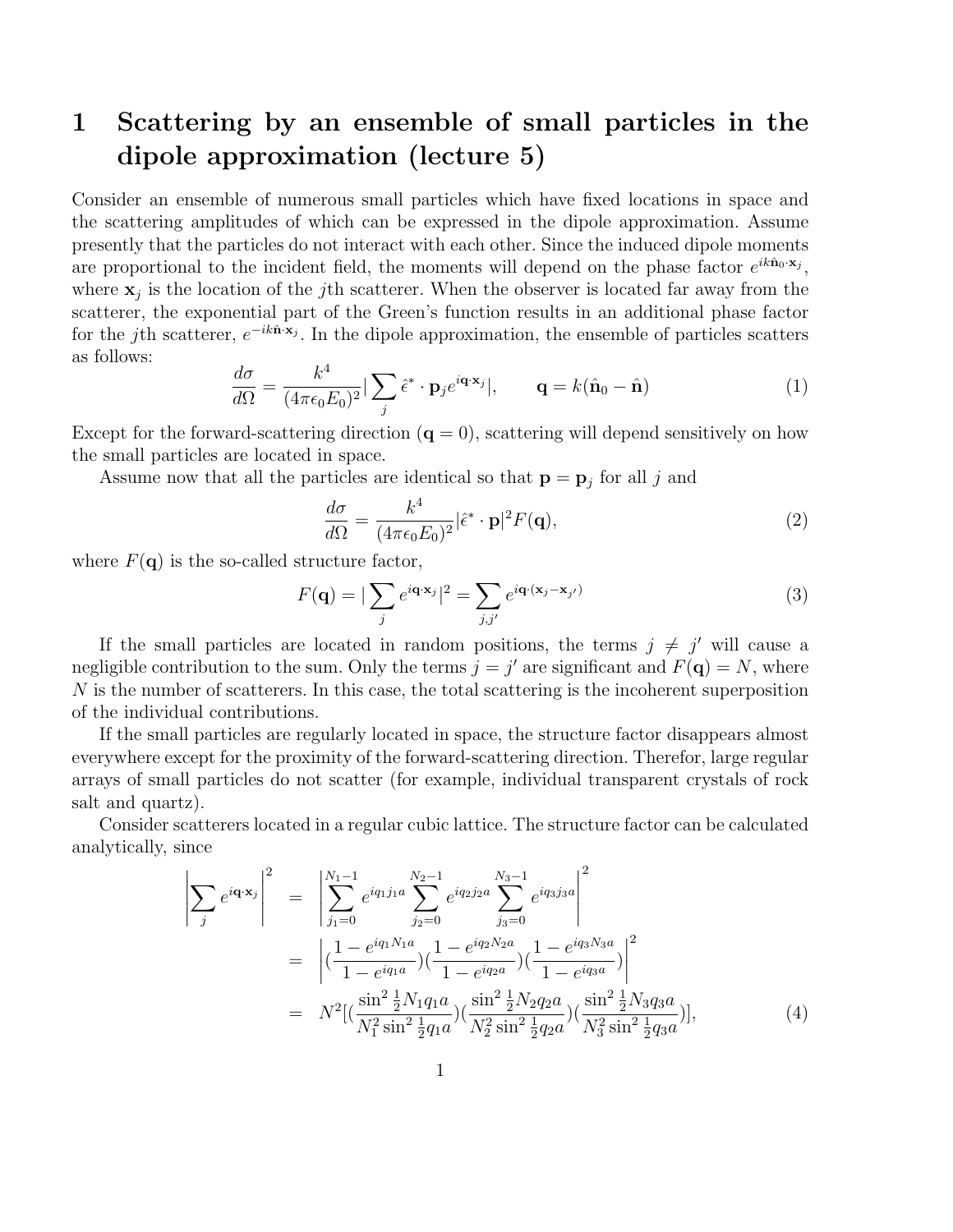## 1 Scattering by an ensemble of small particles in the dipole approximation (lecture 5)

Consider an ensemble of numerous small particles which have fixed locations in space and the scattering amplitudes of which can be expressed in the dipole approximation. Assume presently that the particles do not interact with each other. Since the induced dipole moments are proportional to the incident field, the moments will depend on the phase factor  $e^{ik\hat{\mathbf{n}}_0 \cdot \mathbf{x}_j}$ , where  $\mathbf{x}_j$  is the location of the *j*th scatterer. When the observer is located far away from the scatterer, the exponential part of the Green's function results in an additional phase factor for the jth scatterer,  $e^{-ik\hat{\mathbf{n}}\cdot\mathbf{x}_j}$ . In the dipole approximation, the ensemble of particles scatters as follows:

$$
\frac{d\sigma}{d\Omega} = \frac{k^4}{(4\pi\epsilon_0 E_0)^2} |\sum_j \hat{\epsilon}^* \cdot \mathbf{p}_j e^{i\mathbf{q} \cdot \mathbf{x}_j}|, \qquad \mathbf{q} = k(\hat{\mathbf{n}}_0 - \hat{\mathbf{n}})
$$
(1)

Except for the forward-scattering direction  $(q = 0)$ , scattering will depend sensitively on how the small particles are located in space.

Assume now that all the particles are identical so that  $\mathbf{p} = \mathbf{p}_j$  for all j and

$$
\frac{d\sigma}{d\Omega} = \frac{k^4}{(4\pi\epsilon_0 E_0)^2} |\hat{\epsilon}^* \cdot \mathbf{p}|^2 F(\mathbf{q}),\tag{2}
$$

where  $F(\mathbf{q})$  is the so-called structure factor,

$$
F(\mathbf{q}) = |\sum_{j} e^{i\mathbf{q} \cdot \mathbf{x}_{j}}|^{2} = \sum_{j,j'} e^{i\mathbf{q} \cdot (\mathbf{x}_{j} - \mathbf{x}_{j'})}
$$
(3)

If the small particles are located in random positions, the terms  $j \neq j'$  will cause a negligible contribution to the sum. Only the terms  $j = j'$  are significant and  $F(\mathbf{q}) = N$ , where  $N$  is the number of scatterers. In this case, the total scattering is the incoherent superposition of the individual contributions.

If the small particles are regularly located in space, the structure factor disappears almost everywhere except for the proximity of the forward-scattering direction. Therefor, large regular arrays of small particles do not scatter (for example, individual transparent crystals of rock salt and quartz).

Consider scatterers located in a regular cubic lattice. The structure factor can be calculated analytically, since

$$
\left| \sum_{j} e^{i\mathbf{q} \cdot \mathbf{x}_{j}} \right|^{2} = \left| \sum_{j_{1}=0}^{N_{1}-1} e^{iq_{1}j_{1}a} \sum_{j_{2}=0}^{N_{2}-1} e^{iq_{2}j_{2}a} \sum_{j_{3}=0}^{N_{3}-1} e^{iq_{3}j_{3}a} \right|^{2}
$$
  
\n
$$
= \left| \left( \frac{1 - e^{iq_{1}N_{1}a}}{1 - e^{iq_{1}a}} \right) \left( \frac{1 - e^{iq_{2}N_{2}a}}{1 - e^{iq_{2}a}} \right) \left( \frac{1 - e^{iq_{3}N_{3}a}}{1 - e^{iq_{3}a}} \right) \right|^{2}
$$
  
\n
$$
= N^{2} \left[ \left( \frac{\sin^{2} \frac{1}{2}N_{1}q_{1}a}{N_{1}^{2} \sin^{2} \frac{1}{2}q_{1}a} \right) \left( \frac{\sin^{2} \frac{1}{2}N_{2}q_{2}a}{N_{2}^{2} \sin^{2} \frac{1}{2}q_{2}a} \right) \left( \frac{\sin^{2} \frac{1}{2}N_{3}q_{3}a}{N_{3}^{2} \sin^{2} \frac{1}{2}q_{3}a} \right) \right|,
$$
  
\n(4)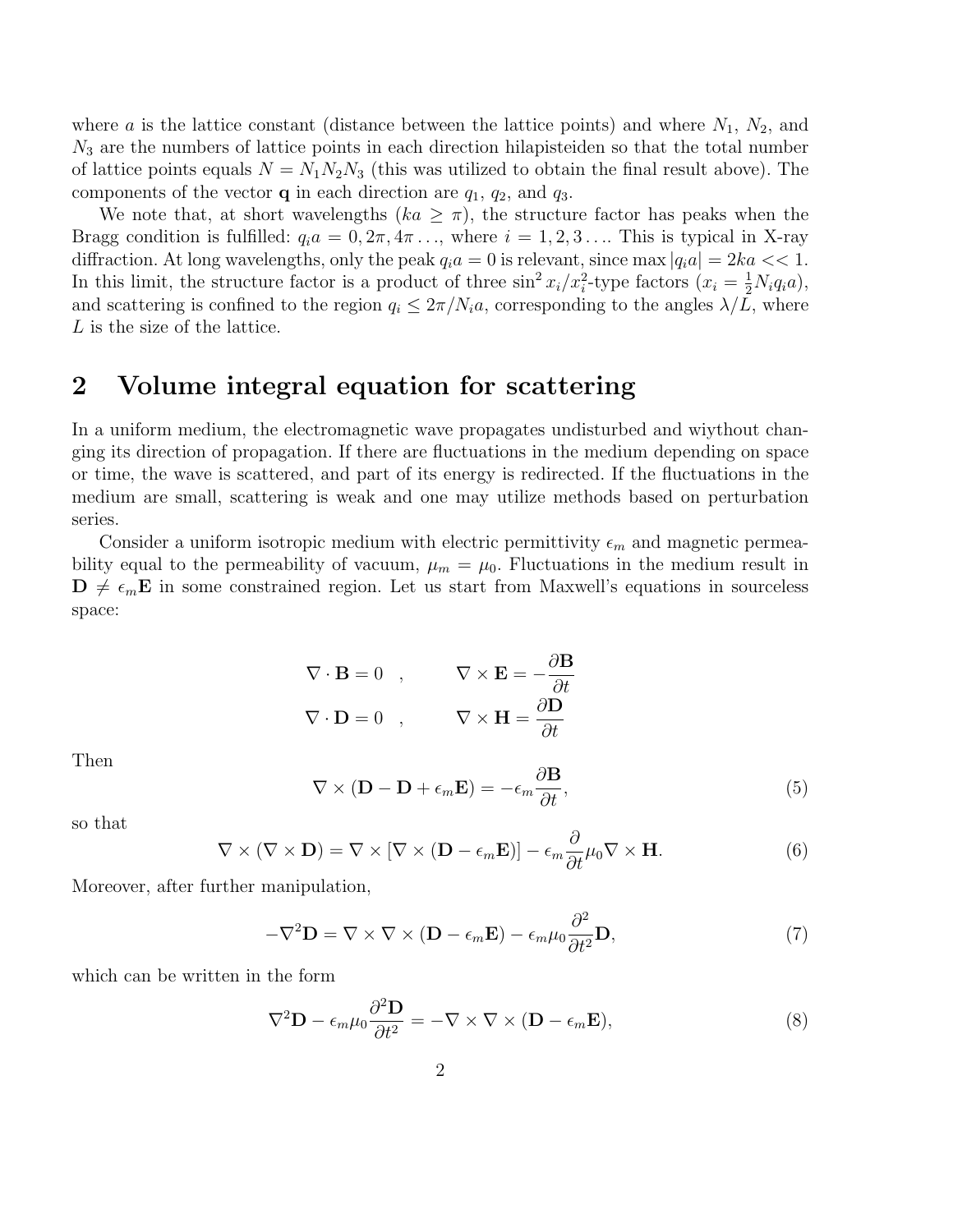where a is the lattice constant (distance between the lattice points) and where  $N_1$ ,  $N_2$ , and  $N_3$  are the numbers of lattice points in each direction hilapisteiden so that the total number of lattice points equals  $N = N_1 N_2 N_3$  (this was utilized to obtain the final result above). The components of the vector  $q$  in each direction are  $q_1, q_2$ , and  $q_3$ .

We note that, at short wavelengths  $(ka \geq \pi)$ , the structure factor has peaks when the Bragg condition is fulfilled:  $q_i a = 0, 2\pi, 4\pi \dots$ , where  $i = 1, 2, 3 \dots$  This is typical in X-ray diffraction. At long wavelengths, only the peak  $q_i a = 0$  is relevant, since max  $|q_i a| = 2ka \ll 1$ . In this limit, the structure factor is a product of three  $\sin^2 x_i/x_i^2$ -type factors  $(x_i = \frac{1}{2}N_iq_i a)$ , and scattering is confined to the region  $q_i \leq 2\pi/N_i a$ , corresponding to the angles  $\lambda/\overline{L}$ , where L is the size of the lattice.

## 2 Volume integral equation for scattering

In a uniform medium, the electromagnetic wave propagates undisturbed and wiythout changing its direction of propagation. If there are fluctuations in the medium depending on space or time, the wave is scattered, and part of its energy is redirected. If the fluctuations in the medium are small, scattering is weak and one may utilize methods based on perturbation series.

Consider a uniform isotropic medium with electric permittivity  $\epsilon_m$  and magnetic permeability equal to the permeability of vacuum,  $\mu_m = \mu_0$ . Fluctuations in the medium result in  $\mathbf{D} \neq \epsilon_m \mathbf{E}$  in some constrained region. Let us start from Maxwell's equations in sourceless space:

| $\nabla \cdot \mathbf{B} = 0$ , | $\partial \mathbf{B}$<br>$\nabla \times \mathbf{E} = -\frac{\partial \mathbf{E}}{\partial t}$ |
|---------------------------------|-----------------------------------------------------------------------------------------------|
| $\nabla \cdot \mathbf{D} = 0$ , | $\nabla \times \mathbf{H} = \frac{\partial \mathbf{D}}{\partial t}$                           |

Then

$$
\nabla \times (\mathbf{D} - \mathbf{D} + \epsilon_m \mathbf{E}) = -\epsilon_m \frac{\partial \mathbf{B}}{\partial t},
$$
\n(5)

so that

$$
\nabla \times (\nabla \times \mathbf{D}) = \nabla \times [\nabla \times (\mathbf{D} - \epsilon_m \mathbf{E})] - \epsilon_m \frac{\partial}{\partial t} \mu_0 \nabla \times \mathbf{H}.
$$
 (6)

Moreover, after further manipulation,

$$
-\nabla^2 \mathbf{D} = \nabla \times \nabla \times (\mathbf{D} - \epsilon_m \mathbf{E}) - \epsilon_m \mu_0 \frac{\partial^2}{\partial t^2} \mathbf{D},\tag{7}
$$

which can be written in the form

$$
\nabla^2 \mathbf{D} - \epsilon_m \mu_0 \frac{\partial^2 \mathbf{D}}{\partial t^2} = -\nabla \times \nabla \times (\mathbf{D} - \epsilon_m \mathbf{E}), \tag{8}
$$